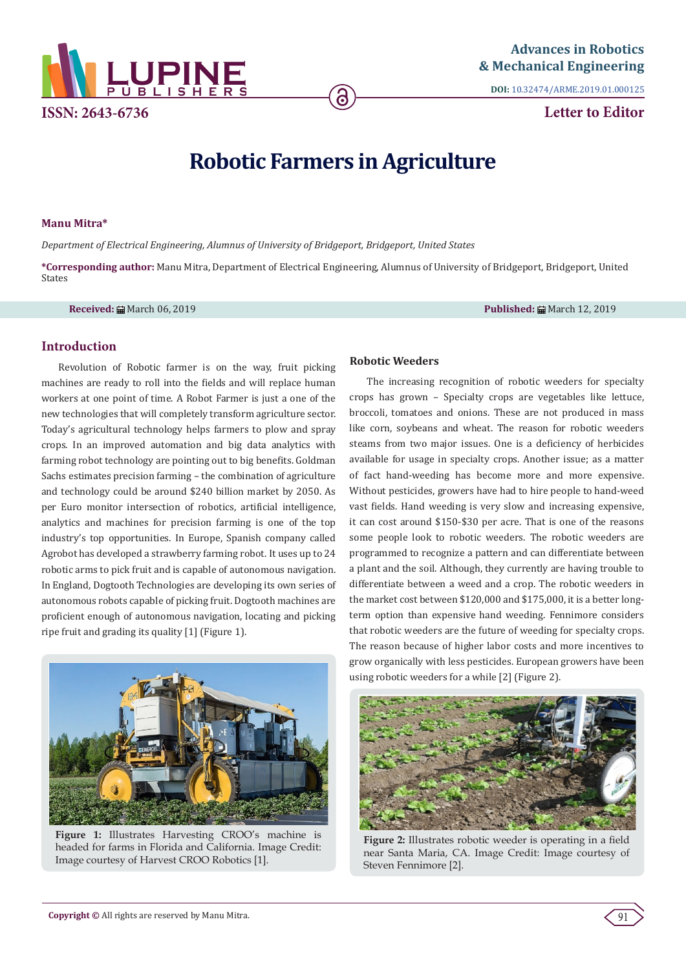

**DOI:** [10.32474/ARME.2019.01.000125](http://dx.doi.org/10.32474/ARME.2019.01.000125)

**Letter to Editor**

# **Robotic Farmers in Agriculture**

#### **Manu Mitra\***

*Department of Electrical Engineering, Alumnus of University of Bridgeport, Bridgeport, United States*

**\*Corresponding author:** Manu Mitra, Department of Electrical Engineering, Alumnus of University of Bridgeport, Bridgeport, United States

**Received:** March 06, 2019 **Published:** March 12, 2019

# **Introduction**

Revolution of Robotic farmer is on the way, fruit picking machines are ready to roll into the fields and will replace human workers at one point of time. A Robot Farmer is just a one of the new technologies that will completely transform agriculture sector. Today's agricultural technology helps farmers to plow and spray crops. In an improved automation and big data analytics with farming robot technology are pointing out to big benefits. Goldman Sachs estimates precision farming – the combination of agriculture and technology could be around \$240 billion market by 2050. As per Euro monitor intersection of robotics, artificial intelligence, analytics and machines for precision farming is one of the top industry's top opportunities. In Europe, Spanish company called Agrobot has developed a strawberry farming robot. It uses up to 24 robotic arms to pick fruit and is capable of autonomous navigation. In England, Dogtooth Technologies are developing its own series of autonomous robots capable of picking fruit. Dogtooth machines are proficient enough of autonomous navigation, locating and picking ripe fruit and grading its quality [1] (Figure 1).



**Figure 1:** Illustrates Harvesting CROO's machine is headed for farms in Florida and California. Image Credit: Image courtesy of Harvest CROO Robotics [1].

### **Robotic Weeders**

The increasing recognition of robotic weeders for specialty crops has grown – Specialty crops are vegetables like lettuce, broccoli, tomatoes and onions. These are not produced in mass like corn, soybeans and wheat. The reason for robotic weeders steams from two major issues. One is a deficiency of herbicides available for usage in specialty crops. Another issue; as a matter of fact hand-weeding has become more and more expensive. Without pesticides, growers have had to hire people to hand-weed vast fields. Hand weeding is very slow and increasing expensive, it can cost around \$150-\$30 per acre. That is one of the reasons some people look to robotic weeders. The robotic weeders are programmed to recognize a pattern and can differentiate between a plant and the soil. Although, they currently are having trouble to differentiate between a weed and a crop. The robotic weeders in the market cost between \$120,000 and \$175,000, it is a better longterm option than expensive hand weeding. Fennimore considers that robotic weeders are the future of weeding for specialty crops. The reason because of higher labor costs and more incentives to grow organically with less pesticides. European growers have been using robotic weeders for a while [2] (Figure 2).



**Figure 2:** Illustrates robotic weeder is operating in a field near Santa Maria, CA. Image Credit: Image courtesy of Steven Fennimore [2].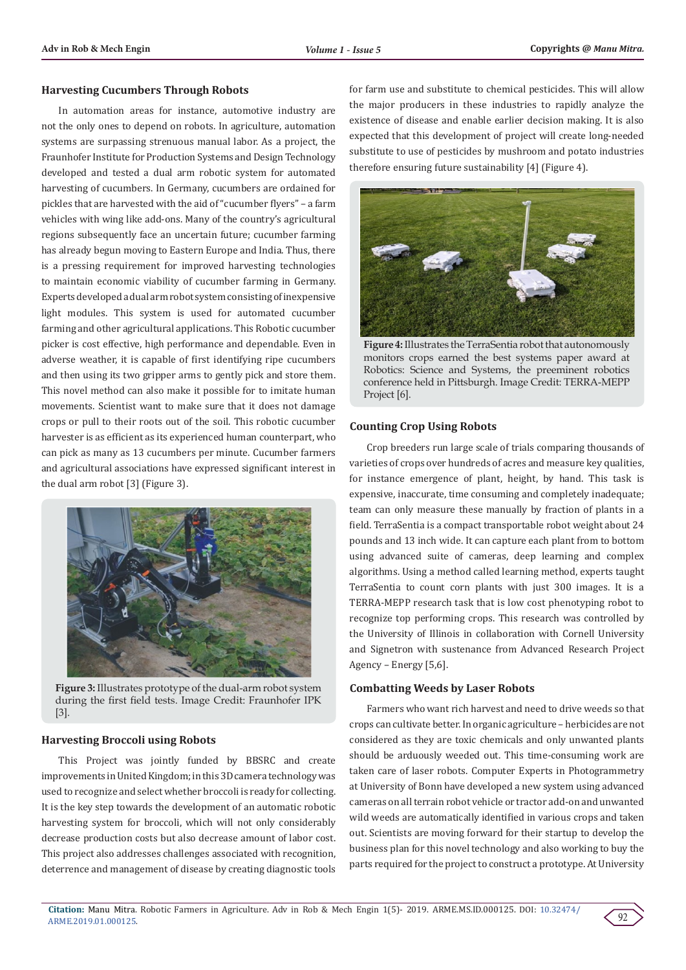#### **Harvesting Cucumbers Through Robots**

In automation areas for instance, automotive industry are not the only ones to depend on robots. In agriculture, automation systems are surpassing strenuous manual labor. As a project, the Fraunhofer Institute for Production Systems and Design Technology developed and tested a dual arm robotic system for automated harvesting of cucumbers. In Germany, cucumbers are ordained for pickles that are harvested with the aid of "cucumber flyers" – a farm vehicles with wing like add-ons. Many of the country's agricultural regions subsequently face an uncertain future; cucumber farming has already begun moving to Eastern Europe and India. Thus, there is a pressing requirement for improved harvesting technologies to maintain economic viability of cucumber farming in Germany. Experts developed a dual arm robot system consisting of inexpensive light modules. This system is used for automated cucumber farming and other agricultural applications. This Robotic cucumber picker is cost effective, high performance and dependable. Even in adverse weather, it is capable of first identifying ripe cucumbers and then using its two gripper arms to gently pick and store them. This novel method can also make it possible for to imitate human movements. Scientist want to make sure that it does not damage crops or pull to their roots out of the soil. This robotic cucumber harvester is as efficient as its experienced human counterpart, who can pick as many as 13 cucumbers per minute. Cucumber farmers and agricultural associations have expressed significant interest in the dual arm robot [3] (Figure 3).



**Figure 3:** Illustrates prototype of the dual-arm robot system during the first field tests. Image Credit: Fraunhofer IPK [3].

#### **Harvesting Broccoli using Robots**

This Project was jointly funded by BBSRC and create improvements in United Kingdom; in this 3D camera technology was used to recognize and select whether broccoli is ready for collecting. It is the key step towards the development of an automatic robotic harvesting system for broccoli, which will not only considerably decrease production costs but also decrease amount of labor cost. This project also addresses challenges associated with recognition, deterrence and management of disease by creating diagnostic tools for farm use and substitute to chemical pesticides. This will allow the major producers in these industries to rapidly analyze the existence of disease and enable earlier decision making. It is also expected that this development of project will create long-needed substitute to use of pesticides by mushroom and potato industries therefore ensuring future sustainability [4] (Figure 4).



**Figure 4:** Illustrates the TerraSentia robot that autonomously monitors crops earned the best systems paper award at Robotics: Science and Systems, the preeminent robotics conference held in Pittsburgh. Image Credit: TERRA-MEPP Project [6].

#### **Counting Crop Using Robots**

Crop breeders run large scale of trials comparing thousands of varieties of crops over hundreds of acres and measure key qualities, for instance emergence of plant, height, by hand. This task is expensive, inaccurate, time consuming and completely inadequate; team can only measure these manually by fraction of plants in a field. TerraSentia is a compact transportable robot weight about 24 pounds and 13 inch wide. It can capture each plant from to bottom using advanced suite of cameras, deep learning and complex algorithms. Using a method called learning method, experts taught TerraSentia to count corn plants with just 300 images. It is a TERRA-MEPP research task that is low cost phenotyping robot to recognize top performing crops. This research was controlled by the University of Illinois in collaboration with Cornell University and Signetron with sustenance from Advanced Research Project Agency – Energy [5,6].

#### **Combatting Weeds by Laser Robots**

Farmers who want rich harvest and need to drive weeds so that crops can cultivate better. In organic agriculture – herbicides are not considered as they are toxic chemicals and only unwanted plants should be arduously weeded out. This time-consuming work are taken care of laser robots. Computer Experts in Photogrammetry at University of Bonn have developed a new system using advanced cameras on all terrain robot vehicle or tractor add-on and unwanted wild weeds are automatically identified in various crops and taken out. Scientists are moving forward for their startup to develop the business plan for this novel technology and also working to buy the parts required for the project to construct a prototype. At University

92